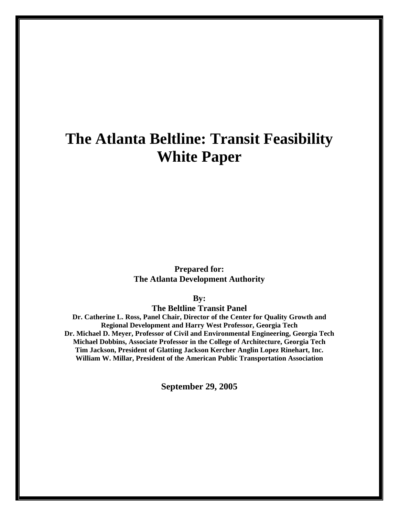# **The Atlanta Beltline: Transit Feasibility White Paper**

**Prepared for: The Atlanta Development Authority** 

**By:** 

**The Beltline Transit Panel** 

**Dr. Catherine L. Ross, Panel Chair, Director of the Center for Quality Growth and Regional Development and Harry West Professor, Georgia Tech Dr. Michael D. Meyer, Professor of Civil and Environmental Engineering, Georgia Tech Michael Dobbins, Associate Professor in the College of Architecture, Georgia Tech Tim Jackson, President of Glatting Jackson Kercher Anglin Lopez Rinehart, Inc. William W. Millar, President of the American Public Transportation Association** 

**September 29, 2005**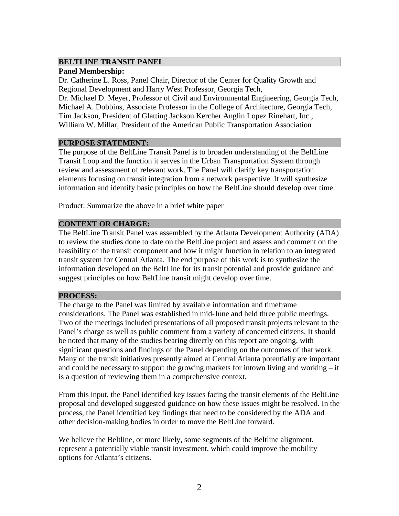#### **BELTLINE TRANSIT PANEL**

#### **Panel Membership:**

Dr. Catherine L. Ross, Panel Chair, Director of the Center for Quality Growth and Regional Development and Harry West Professor, Georgia Tech,

Dr. Michael D. Meyer, Professor of Civil and Environmental Engineering, Georgia Tech, Michael A. Dobbins, Associate Professor in the College of Architecture, Georgia Tech, Tim Jackson, President of Glatting Jackson Kercher Anglin Lopez Rinehart, Inc., William W. Millar, President of the American Public Transportation Association

### **PURPOSE STATEMENT:**

The purpose of the BeltLine Transit Panel is to broaden understanding of the BeltLine Transit Loop and the function it serves in the Urban Transportation System through review and assessment of relevant work. The Panel will clarify key transportation elements focusing on transit integration from a network perspective. It will synthesize information and identify basic principles on how the BeltLine should develop over time.

Product: Summarize the above in a brief white paper

## **CONTEXT OR CHARGE:**

The BeltLine Transit Panel was assembled by the Atlanta Development Authority (ADA) to review the studies done to date on the BeltLine project and assess and comment on the feasibility of the transit component and how it might function in relation to an integrated transit system for Central Atlanta. The end purpose of this work is to synthesize the information developed on the BeltLine for its transit potential and provide guidance and suggest principles on how BeltLine transit might develop over time.

## **PROCESS:**

The charge to the Panel was limited by available information and timeframe considerations. The Panel was established in mid-June and held three public meetings. Two of the meetings included presentations of all proposed transit projects relevant to the Panel's charge as well as public comment from a variety of concerned citizens. It should be noted that many of the studies bearing directly on this report are ongoing, with significant questions and findings of the Panel depending on the outcomes of that work. Many of the transit initiatives presently aimed at Central Atlanta potentially are important and could be necessary to support the growing markets for intown living and working – it is a question of reviewing them in a comprehensive context.

From this input, the Panel identified key issues facing the transit elements of the BeltLine proposal and developed suggested guidance on how these issues might be resolved. In the process, the Panel identified key findings that need to be considered by the ADA and other decision-making bodies in order to move the BeltLine forward.

We believe the Beltline, or more likely, some segments of the Beltline alignment, represent a potentially viable transit investment, which could improve the mobility options for Atlanta's citizens.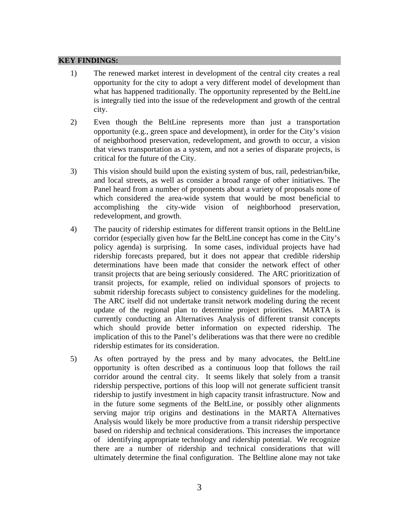#### **KEY FINDINGS:**

- 1) The renewed market interest in development of the central city creates a real opportunity for the city to adopt a very different model of development than what has happened traditionally. The opportunity represented by the BeltLine is integrally tied into the issue of the redevelopment and growth of the central city.
- 2) Even though the BeltLine represents more than just a transportation opportunity (e.g., green space and development), in order for the City's vision of neighborhood preservation, redevelopment, and growth to occur, a vision that views transportation as a system, and not a series of disparate projects, is critical for the future of the City.
- 3) This vision should build upon the existing system of bus, rail, pedestrian/bike, and local streets, as well as consider a broad range of other initiatives. The Panel heard from a number of proponents about a variety of proposals none of which considered the area-wide system that would be most beneficial to accomplishing the city-wide vision of neighborhood preservation, redevelopment, and growth.
- 4) The paucity of ridership estimates for different transit options in the BeltLine corridor (especially given how far the BeltLine concept has come in the City's policy agenda) is surprising. In some cases, individual projects have had ridership forecasts prepared, but it does not appear that credible ridership determinations have been made that consider the network effect of other transit projects that are being seriously considered. The ARC prioritization of transit projects, for example, relied on individual sponsors of projects to submit ridership forecasts subject to consistency guidelines for the modeling. The ARC itself did not undertake transit network modeling during the recent update of the regional plan to determine project priorities. MARTA is currently conducting an Alternatives Analysis of different transit concepts which should provide better information on expected ridership. The implication of this to the Panel's deliberations was that there were no credible ridership estimates for its consideration.
- 5) As often portrayed by the press and by many advocates, the BeltLine opportunity is often described as a continuous loop that follows the rail corridor around the central city. It seems likely that solely from a transit ridership perspective, portions of this loop will not generate sufficient transit ridership to justify investment in high capacity transit infrastructure. Now and in the future some segments of the BeltLine, or possibly other alignments serving major trip origins and destinations in the MARTA Alternatives Analysis would likely be more productive from a transit ridership perspective based on ridership and technical considerations. This increases the importance of identifying appropriate technology and ridership potential. We recognize there are a number of ridership and technical considerations that will ultimately determine the final configuration. The Beltline alone may not take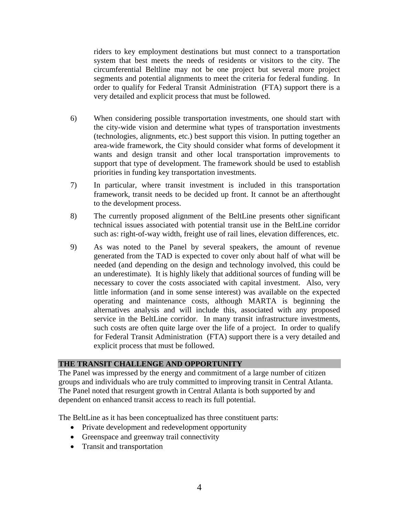riders to key employment destinations but must connect to a transportation system that best meets the needs of residents or visitors to the city. The circumferential Beltline may not be one project but several more project segments and potential alignments to meet the criteria for federal funding. In order to qualify for Federal Transit Administration (FTA) support there is a very detailed and explicit process that must be followed.

- 6) When considering possible transportation investments, one should start with the city-wide vision and determine what types of transportation investments (technologies, alignments, etc.) best support this vision. In putting together an area-wide framework, the City should consider what forms of development it wants and design transit and other local transportation improvements to support that type of development. The framework should be used to establish priorities in funding key transportation investments.
- 7) In particular, where transit investment is included in this transportation framework, transit needs to be decided up front. It cannot be an afterthought to the development process.
- 8) The currently proposed alignment of the BeltLine presents other significant technical issues associated with potential transit use in the BeltLine corridor such as: right-of-way width, freight use of rail lines, elevation differences, etc.
- 9) As was noted to the Panel by several speakers, the amount of revenue generated from the TAD is expected to cover only about half of what will be needed (and depending on the design and technology involved, this could be an underestimate). It is highly likely that additional sources of funding will be necessary to cover the costs associated with capital investment. Also, very little information (and in some sense interest) was available on the expected operating and maintenance costs, although MARTA is beginning the alternatives analysis and will include this, associated with any proposed service in the BeltLine corridor. In many transit infrastructure investments, such costs are often quite large over the life of a project. In order to qualify for Federal Transit Administration (FTA) support there is a very detailed and explicit process that must be followed.

#### **THE TRANSIT CHALLENGE AND OPPORTUNITY**

The Panel was impressed by the energy and commitment of a large number of citizen groups and individuals who are truly committed to improving transit in Central Atlanta. The Panel noted that resurgent growth in Central Atlanta is both supported by and dependent on enhanced transit access to reach its full potential.

The BeltLine as it has been conceptualized has three constituent parts:

- Private development and redevelopment opportunity
- Greenspace and greenway trail connectivity
- Transit and transportation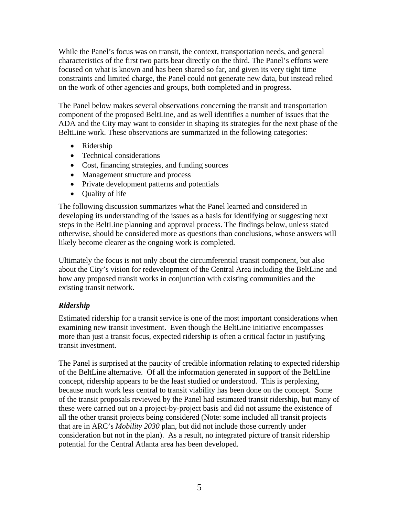While the Panel's focus was on transit, the context, transportation needs, and general characteristics of the first two parts bear directly on the third. The Panel's efforts were focused on what is known and has been shared so far, and given its very tight time constraints and limited charge, the Panel could not generate new data, but instead relied on the work of other agencies and groups, both completed and in progress.

The Panel below makes several observations concerning the transit and transportation component of the proposed BeltLine, and as well identifies a number of issues that the ADA and the City may want to consider in shaping its strategies for the next phase of the BeltLine work. These observations are summarized in the following categories:

- Ridership
- Technical considerations
- Cost, financing strategies, and funding sources
- Management structure and process
- Private development patterns and potentials
- Quality of life

The following discussion summarizes what the Panel learned and considered in developing its understanding of the issues as a basis for identifying or suggesting next steps in the BeltLine planning and approval process. The findings below, unless stated otherwise, should be considered more as questions than conclusions, whose answers will likely become clearer as the ongoing work is completed.

Ultimately the focus is not only about the circumferential transit component, but also about the City's vision for redevelopment of the Central Area including the BeltLine and how any proposed transit works in conjunction with existing communities and the existing transit network.

## *Ridership*

Estimated ridership for a transit service is one of the most important considerations when examining new transit investment. Even though the BeltLine initiative encompasses more than just a transit focus, expected ridership is often a critical factor in justifying transit investment.

The Panel is surprised at the paucity of credible information relating to expected ridership of the BeltLine alternative. Of all the information generated in support of the BeltLine concept, ridership appears to be the least studied or understood. This is perplexing, because much work less central to transit viability has been done on the concept. Some of the transit proposals reviewed by the Panel had estimated transit ridership, but many of these were carried out on a project-by-project basis and did not assume the existence of all the other transit projects being considered (Note: some included all transit projects that are in ARC's *Mobility 2030* plan, but did not include those currently under consideration but not in the plan). As a result, no integrated picture of transit ridership potential for the Central Atlanta area has been developed.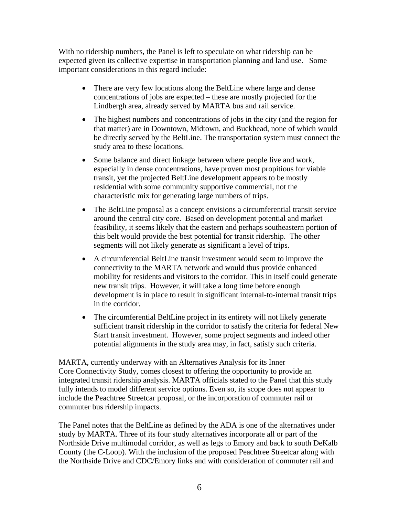With no ridership numbers, the Panel is left to speculate on what ridership can be expected given its collective expertise in transportation planning and land use. Some important considerations in this regard include:

- There are very few locations along the BeltLine where large and dense concentrations of jobs are expected – these are mostly projected for the Lindbergh area, already served by MARTA bus and rail service.
- The highest numbers and concentrations of jobs in the city (and the region for that matter) are in Downtown, Midtown, and Buckhead, none of which would be directly served by the BeltLine. The transportation system must connect the study area to these locations.
- Some balance and direct linkage between where people live and work, especially in dense concentrations, have proven most propitious for viable transit, yet the projected BeltLine development appears to be mostly residential with some community supportive commercial, not the characteristic mix for generating large numbers of trips.
- The BeltLine proposal as a concept envisions a circumferential transit service around the central city core. Based on development potential and market feasibility, it seems likely that the eastern and perhaps southeastern portion of this belt would provide the best potential for transit ridership. The other segments will not likely generate as significant a level of trips.
- A circumferential BeltLine transit investment would seem to improve the connectivity to the MARTA network and would thus provide enhanced mobility for residents and visitors to the corridor. This in itself could generate new transit trips. However, it will take a long time before enough development is in place to result in significant internal-to-internal transit trips in the corridor.
- The circumferential BeltLine project in its entirety will not likely generate sufficient transit ridership in the corridor to satisfy the criteria for federal New Start transit investment. However, some project segments and indeed other potential alignments in the study area may, in fact, satisfy such criteria.

MARTA, currently underway with an Alternatives Analysis for its Inner Core Connectivity Study, comes closest to offering the opportunity to provide an integrated transit ridership analysis. MARTA officials stated to the Panel that this study fully intends to model different service options. Even so, its scope does not appear to include the Peachtree Streetcar proposal, or the incorporation of commuter rail or commuter bus ridership impacts.

The Panel notes that the BeltLine as defined by the ADA is one of the alternatives under study by MARTA. Three of its four study alternatives incorporate all or part of the Northside Drive multimodal corridor, as well as legs to Emory and back to south DeKalb County (the C-Loop). With the inclusion of the proposed Peachtree Streetcar along with the Northside Drive and CDC/Emory links and with consideration of commuter rail and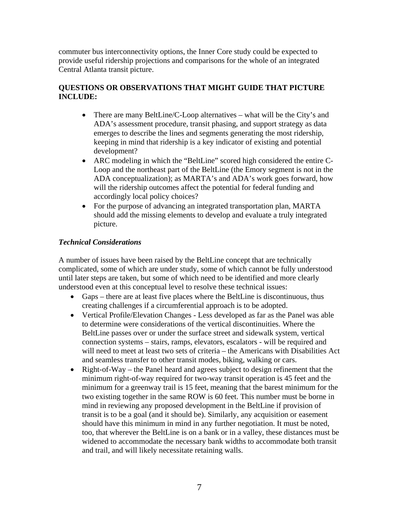commuter bus interconnectivity options, the Inner Core study could be expected to provide useful ridership projections and comparisons for the whole of an integrated Central Atlanta transit picture.

## **QUESTIONS OR OBSERVATIONS THAT MIGHT GUIDE THAT PICTURE INCLUDE:**

- There are many BeltLine/C-Loop alternatives what will be the City's and ADA's assessment procedure, transit phasing, and support strategy as data emerges to describe the lines and segments generating the most ridership, keeping in mind that ridership is a key indicator of existing and potential development?
- ARC modeling in which the "BeltLine" scored high considered the entire C-Loop and the northeast part of the BeltLine (the Emory segment is not in the ADA conceptualization); as MARTA's and ADA's work goes forward, how will the ridership outcomes affect the potential for federal funding and accordingly local policy choices?
- For the purpose of advancing an integrated transportation plan, MARTA should add the missing elements to develop and evaluate a truly integrated picture.

## *Technical Considerations*

A number of issues have been raised by the BeltLine concept that are technically complicated, some of which are under study, some of which cannot be fully understood until later steps are taken, but some of which need to be identified and more clearly understood even at this conceptual level to resolve these technical issues:

- Gaps there are at least five places where the BeltLine is discontinuous, thus creating challenges if a circumferential approach is to be adopted.
- Vertical Profile/Elevation Changes Less developed as far as the Panel was able to determine were considerations of the vertical discontinuities. Where the BeltLine passes over or under the surface street and sidewalk system, vertical connection systems – stairs, ramps, elevators, escalators - will be required and will need to meet at least two sets of criteria – the Americans with Disabilities Act and seamless transfer to other transit modes, biking, walking or cars.
- Right-of-Way the Panel heard and agrees subject to design refinement that the minimum right-of-way required for two-way transit operation is 45 feet and the minimum for a greenway trail is 15 feet, meaning that the barest minimum for the two existing together in the same ROW is 60 feet. This number must be borne in mind in reviewing any proposed development in the BeltLine if provision of transit is to be a goal (and it should be). Similarly, any acquisition or easement should have this minimum in mind in any further negotiation. It must be noted, too, that wherever the BeltLine is on a bank or in a valley, these distances must be widened to accommodate the necessary bank widths to accommodate both transit and trail, and will likely necessitate retaining walls.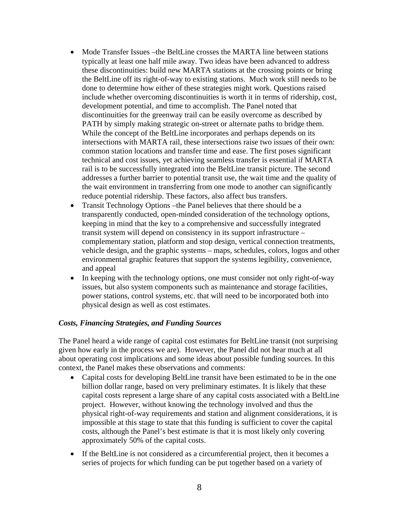- Mode Transfer Issues –the BeltLine crosses the MARTA line between stations typically at least one half mile away. Two ideas have been advanced to address these discontinuities: build new MARTA stations at the crossing points or bring the BeltLine off its right-of-way to existing stations. Much work still needs to be done to determine how either of these strategies might work. Questions raised include whether overcoming discontinuities is worth it in terms of ridership, cost, development potential, and time to accomplish. The Panel noted that discontinuities for the greenway trail can be easily overcome as described by PATH by simply making strategic on-street or alternate paths to bridge them. While the concept of the BeltLine incorporates and perhaps depends on its intersections with MARTA rail, these intersections raise two issues of their own: common station locations and transfer time and ease. The first poses significant technical and cost issues, yet achieving seamless transfer is essential if MARTA rail is to be successfully integrated into the BeltLine transit picture. The second addresses a further barrier to potential transit use, the wait time and the quality of the wait environment in transferring from one mode to another can significantly reduce potential ridership. These factors, also affect bus transfers.
- Transit Technology Options the Panel believes that there should be a transparently conducted, open-minded consideration of the technology options, keeping in mind that the key to a comprehensive and successfully integrated transit system will depend on consistency in its support infrastructure – complementary station, platform and stop design, vertical connection treatments, vehicle design, and the graphic systems – maps, schedules, colors, logos and other environmental graphic features that support the systems legibility, convenience, and appeal
- In keeping with the technology options, one must consider not only right-of-way issues, but also system components such as maintenance and storage facilities, power stations, control systems, etc. that will need to be incorporated both into physical design as well as cost estimates.

#### *Costs, Financing Strategies, and Funding Sources*

The Panel heard a wide range of capital cost estimates for BeltLine transit (not surprising given how early in the process we are). However, the Panel did not hear much at all about operating cost implications and some ideas about possible funding sources. In this context, the Panel makes these observations and comments:

- Capital costs for developing BeltLine transit have been estimated to be in the one billion dollar range, based on very preliminary estimates. It is likely that these capital costs represent a large share of any capital costs associated with a BeltLine project. However, without knowing the technology involved and thus the physical right-of-way requirements and station and alignment considerations, it is impossible at this stage to state that this funding is sufficient to cover the capital costs, although the Panel's best estimate is that it is most likely only covering approximately 50% of the capital costs.
- If the BeltLine is not considered as a circumferential project, then it becomes a series of projects for which funding can be put together based on a variety of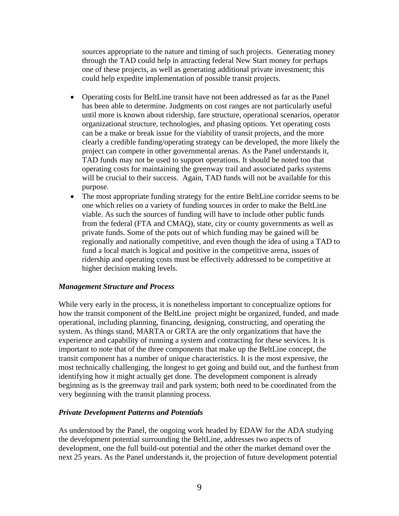sources appropriate to the nature and timing of such projects. Generating money through the TAD could help in attracting federal New Start money for perhaps one of these projects, as well as generating additional private investment; this could help expedite implementation of possible transit projects.

- Operating costs for BeltLine transit have not been addressed as far as the Panel has been able to determine. Judgments on cost ranges are not particularly useful until more is known about ridership, fare structure, operational scenarios, operator organizational structure, technologies, and phasing options. Yet operating costs can be a make or break issue for the viability of transit projects, and the more clearly a credible funding/operating strategy can be developed, the more likely the project can compete in other governmental arenas. As the Panel understands it, TAD funds may not be used to support operations. It should be noted too that operating costs for maintaining the greenway trail and associated parks systems will be crucial to their success. Again, TAD funds will not be available for this purpose.
- The most appropriate funding strategy for the entire BeltLine corridor seems to be one which relies on a variety of funding sources in order to make the BeltLine viable. As such the sources of funding will have to include other public funds from the federal (FTA and CMAQ), state, city or county governments as well as private funds. Some of the pots out of which funding may be gained will be regionally and nationally competitive, and even though the idea of using a TAD to fund a local match is logical and positive in the competitive arena, issues of ridership and operating costs must be effectively addressed to be competitive at higher decision making levels.

#### *Management Structure and Process*

While very early in the process, it is nonetheless important to conceptualize options for how the transit component of the BeltLine project might be organized, funded, and made operational, including planning, financing, designing, constructing, and operating the system. As things stand, MARTA or GRTA are the only organizations that have the experience and capability of running a system and contracting for these services. It is important to note that of the three components that make up the BeltLine concept, the transit component has a number of unique characteristics. It is the most expensive, the most technically challenging, the longest to get going and build out, and the furthest from identifying how it might actually get done. The development component is already beginning as is the greenway trail and park system; both need to be coordinated from the very beginning with the transit planning process.

## *Private Development Patterns and Potentials*

As understood by the Panel, the ongoing work headed by EDAW for the ADA studying the development potential surrounding the BeltLine, addresses two aspects of development, one the full build-out potential and the other the market demand over the next 25 years. As the Panel understands it, the projection of future development potential